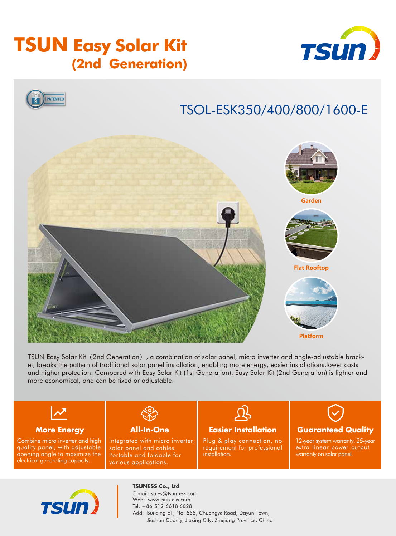# **TSUN Easy Solar Kit (2nd Generation)**





# TSOL-ESK350/400/800/1600-E



TSUN Easy Solar Kit (2nd Generation), a combination of solar panel, micro inverter and angle-adjustable bracket, breaks the pattern of traditional solar panel installation, enabling more energy, easier installations,lower costs and higher protection. Compared with Easy Solar Kit (1st Generation), Easy Solar Kit (2nd Generation) is lighter and more economical, and can be fixed or adjustable.

### **More Energy**

Combine micro inverter and high quality panel, with adjustable opening angle to maximize the electrical generating capacity.



**All-In-One**

Integrated with micro inverter, solar panel and cables. Portable and foldable for various applications.

# **Easier Installation**

Plug & play connection, no requirement for professional installation.



12-year system warranty, 25-year extra linear power output warranty on solar panel.



**TSUNESS Co., Ltd** E-mail: sales@tsun-ess.com Web: www.tsun-ess.com Tel: +86-512-6618 6028

Add: Building E1, No. 555, Chuangye Road, Dayun Town, Jiashan County, Jiaxing City, Zhejiang Province, China